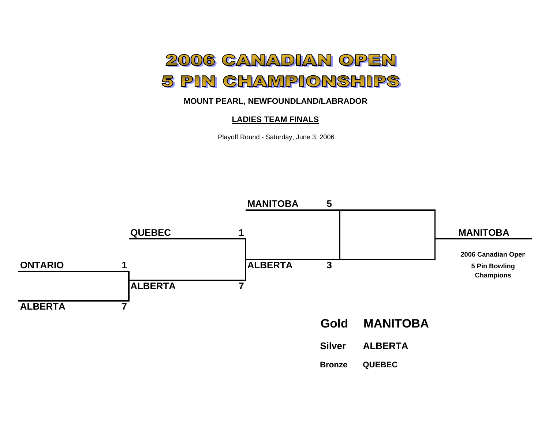

## **MOUNT PEARL, NEWFOUNDLAND/LABRADOR**

## **LADIES TEAM FINALS**

Playoff Round - Saturday, June 3, 2006

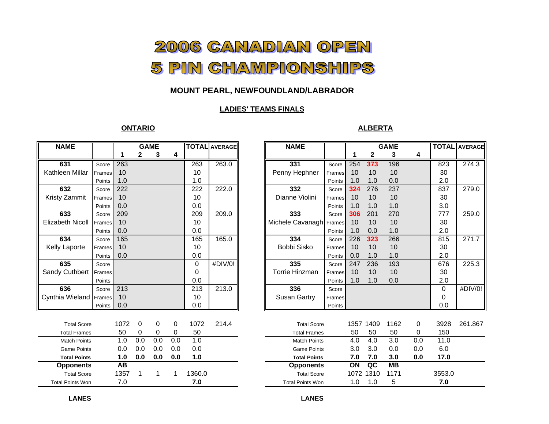# 2006 CANADIAN OPEN 5 PIN CHAMPIONSHIPS

## **MOUNT PEARL, NEWFOUNDLAND/LABRADOR**

#### **LADIES' TEAMS FINALS**

#### **ONTARIO**

#### **ALBERTA**

| <b>NAME</b>             |        | <b>GAME</b> |     | <b>TOTAL AVERAGE</b> |          |          | <b>NAME</b> |  |                         | <b>GAME</b> |      | <b>TOT</b>             |      |     |                 |
|-------------------------|--------|-------------|-----|----------------------|----------|----------|-------------|--|-------------------------|-------------|------|------------------------|------|-----|-----------------|
|                         |        | 1           | 2   | 3                    | 4        |          |             |  |                         |             |      | $\mathbf{2}$           | 3    | 4   |                 |
| 631                     | Score  | 263         |     |                      |          | 263      | 263.0       |  | 331                     | Score       | 254  | 373                    | 196  |     | 82              |
| Kathleen Millar         | Frames | 10          |     |                      |          | 10       |             |  | Penny Hephner           | Frames      | 10   | 10                     | 10   |     | 30              |
|                         | Points | 1.0         |     |                      |          | 1.0      |             |  |                         | Points      | 1.0  | 1.0                    | 0.0  |     | 2.0             |
| 632                     | Score  | 222         |     |                      |          | 222      | 222.0       |  | 332                     | Score       | 324  | 276                    | 237  |     | 83              |
| Kristy Zammit           | Frames | 10          |     |                      |          | 10       |             |  | Dianne Violini          | Frames      | 10   | 10                     | 10   |     | 30              |
|                         | Points | 0.0         |     |                      |          | 0.0      |             |  |                         | Points      | 1.0  | 1.0                    | 1.0  |     | 3.0             |
| 633                     | Score  | 209         |     |                      |          | 209      | 209.0       |  | 333                     | Score       | 306  | 201                    | 270  |     | 77              |
| <b>Elizabeth Nicoll</b> | Frames | 10          |     |                      |          | 10       |             |  | Michele Cavanagh Frames |             | 10   | 10                     | 10   |     | 30              |
|                         | Points | 0.0         |     |                      |          | 0.0      |             |  |                         | Points      | 1.0  | 0.0                    | 1.0  |     | 2.0             |
| 634                     | Score  | 165         |     |                      |          | 165      | 165.0       |  | 334                     | Score       | 226  | 323                    | 266  |     | 81              |
| <b>Kelly Laporte</b>    | Frames | 10          |     |                      |          | 10       |             |  | Bobbi Sisko             | Frames      | 10   | 10                     | 10   |     | 30              |
|                         | Points | 0.0         |     |                      |          | 0.0      |             |  |                         | Points      | 0.0  | 1.0                    | 1.0  |     | 2.0             |
| 635                     | Score  |             |     |                      |          | $\Omega$ | #DIV/0!     |  | 335                     | Score       | 247  | 236                    | 193  |     | 67              |
| Sandy Cuthbert          | Frames |             |     |                      |          | $\Omega$ |             |  | Torrie Hinzman          | Frames      | 10   | 10                     | 10   |     | 30              |
|                         | Points |             |     |                      |          | 0.0      |             |  |                         | Points      | 1.0  | 1.0                    | 0.0  |     | 2.0             |
| 636                     | Score  | 213         |     |                      |          | 213      | 213.0       |  | 336                     | Score       |      |                        |      |     | $\mathbf 0$     |
| Cynthia Wieland Frames  |        | 10          |     |                      |          | 10       |             |  | <b>Susan Gartry</b>     | Frames      |      |                        |      |     | 0               |
|                         | Points | 0.0         |     |                      |          | 0.0      |             |  |                         | Points      |      |                        |      |     | 0.0             |
|                         |        |             |     |                      |          |          |             |  |                         |             |      |                        |      |     |                 |
| <b>Total Score</b>      |        | 1072        | 0   | 0                    | 0        | 1072     | 214.4       |  | <b>Total Score</b>      |             |      | 1357 1409              | 1162 | 0   | 392             |
| <b>Total Frames</b>     |        | 50          | 0   | 0                    | $\Omega$ | 50       |             |  | <b>Total Frames</b>     |             | 50   | 50                     | 50   | 0   | 15 <sub>0</sub> |
| <b>Match Points</b>     |        | 1.0         | 0.0 | 0.0                  | 0.0      | 1.0      |             |  | <b>Match Points</b>     |             | 4.0  | 4.0                    | 3.0  | 0.0 | 11.             |
| <b>Game Points</b>      |        | 0.0         | 0.0 | 0.0                  | 0.0      | 0.0      |             |  | <b>Game Points</b>      |             | 3.0  | 3.0                    | 0.0  | 0.0 | 6(              |
| <b>Total Points</b>     |        | 1.0         | 0.0 | 0.0                  | 0.0      | 1.0      |             |  | <b>Total Points</b>     |             | 7.0  | 7.0                    | 3.0  | 0.0 | 17.             |
| <b>Opponents</b>        |        | <b>AB</b>   |     |                      |          |          |             |  | <b>Opponents</b>        |             | ON   | $\overline{\text{ac}}$ | MB   |     |                 |
| <b>Total Score</b>      |        | 1357        |     | 1                    |          | 1360.0   |             |  | <b>Total Score</b>      |             | 1072 | 1310                   | 1171 |     | 3553            |
| <b>Total Points Won</b> |        | 7.0         |     |                      |          | 7.0      |             |  | <b>Total Points Won</b> |             | 1.0  | 1.0                    | 5    |     | 7.0             |

| ИE             |        | <b>GAME</b> |              | <b>TOTAL AVERAGE</b> |     |                 | <b>NAME</b> |                         |        | <b>GAME</b> | <b>TOTAL</b> AVERAGE |                          |     |        |         |
|----------------|--------|-------------|--------------|----------------------|-----|-----------------|-------------|-------------------------|--------|-------------|----------------------|--------------------------|-----|--------|---------|
|                |        | 1           | $\mathbf{2}$ | 3                    | 4   |                 |             |                         |        |             | 2                    | 3                        | 4   |        |         |
| 1              | Score  | 263         |              |                      |     | 263             | 263.0       | 331                     | Score  | 254         | 373                  | 196                      |     | 823    | 274.3   |
| n Millar       | Frames | 10          |              |                      |     | 10              |             | Penny Hephner           | Frames | 10          | 10                   | 10                       |     | 30     |         |
|                | Points | 1.0         |              |                      |     | 1.0             |             |                         | Points | 1.0         | 1.0                  | 0.0                      |     | 2.0    |         |
| $\overline{2}$ | Score  | 222         |              |                      |     | 222             | 222.0       | 332                     | Score  | 324         | 276                  | 237                      |     | 837    | 279.0   |
| '.ammit        | Frames | 10          |              |                      |     | 10 <sup>1</sup> |             | Dianne Violini          | Frames | 10          | 10                   | 10                       |     | 30     |         |
|                | Points | 0.0         |              |                      |     | 0.0             |             |                         | Points | 1.0         | 1.0                  | 1.0                      |     | 3.0    |         |
| 3              | Score  | 209         |              |                      |     | 209             | 209.0       | 333                     | Score  | 306         | 201                  | 270                      |     | 777    | 259.0   |
| h Nicoll       | Frames | 10          |              |                      |     | 10              |             | Michele Cavanagh Frames |        | 10          | 10                   | 10                       |     | 30     |         |
|                | Points | 0.0         |              |                      |     | 0.0             |             |                         | Points | 1.0         | 0.0                  | 1.0                      |     | 2.0    |         |
| 4              | Score  | 165         |              |                      |     | 165             | 165.0       | 334                     | Score  | 226         | 323                  | 266                      |     | 815    | 271.7   |
| aporte         | Frames | 10          |              |                      |     | 10              |             | Bobbi Sisko             | Frames | 10          | 10                   | 10                       |     | 30     |         |
|                | Points | 0.0         |              |                      |     | 0.0             |             |                         | Points | 0.0         | 1.0                  | 1.0                      |     | 2.0    |         |
| $\overline{5}$ | Score  |             |              |                      |     | 0               | #DIV/0!     | 335                     | Score  | 247         | 236                  | 193                      |     | 676    | 225.3   |
| uthbert:       | Frames |             |              |                      |     | 0               |             | <b>Torrie Hinzman</b>   | Frames | 10          | 10                   | 10                       |     | 30     |         |
|                | Points |             |              |                      |     | 0.0             |             |                         | Points | 1.0         | 1.0                  | 0.0                      |     | 2.0    |         |
| 6              | Score  | 213         |              |                      |     | 213             | 213.0       | 336                     | Score  |             |                      |                          |     | 0      | #DIV/0! |
| Wieland Frames |        | 10          |              |                      |     | 10              |             | <b>Susan Gartry</b>     | Frames |             |                      |                          |     | 0      |         |
|                | Points | 0.0         |              |                      |     | 0.0             |             |                         | Points |             |                      |                          |     | 0.0    |         |
|                |        |             |              |                      |     |                 |             |                         |        |             |                      |                          |     |        |         |
| otal Score     |        | 1072        | 0            | 0                    | 0   | 1072            | 214.4       | <b>Total Score</b>      |        |             | 1357 1409            | 1162                     | 0   | 3928   | 261.867 |
| al Frames      |        | 50          | 0            | 0                    | 0   | 50              |             | <b>Total Frames</b>     |        | 50          | 50                   | 50                       | 0   | 150    |         |
| tch Points     |        | 1.0         | 0.0          | 0.0                  | 0.0 | 1.0             |             | <b>Match Points</b>     |        | 4.0         | 4.0                  | 3.0                      | 0.0 | 11.0   |         |
| me Points      |        | 0.0         | 0.0          | 0.0                  | 0.0 | 0.0             |             | <b>Game Points</b>      |        | 3.0         | 3.0                  | 0.0                      | 0.0 | 6.0    |         |
| tal Points     |        | 1.0         | 0.0          | 0.0                  | 0.0 | 1.0             |             | <b>Total Points</b>     |        | 7.0         | 7.0                  | 3.0                      | 0.0 | 17.0   |         |
| oonents        |        | AB          |              |                      |     |                 |             | <b>Opponents</b>        |        | ON          | $\overline{a}$       | $\overline{\mathsf{MB}}$ |     |        |         |
| otal Score     |        | 1357        |              |                      |     | 1360.0          |             | <b>Total Score</b>      |        | 1072 1310   |                      | 1171                     |     | 3553.0 |         |
| oints Won      |        | 7.0         |              |                      |     | 7.0             |             | <b>Total Points Won</b> |        | 1.0         | 1.0                  | 5                        |     | 7.0    |         |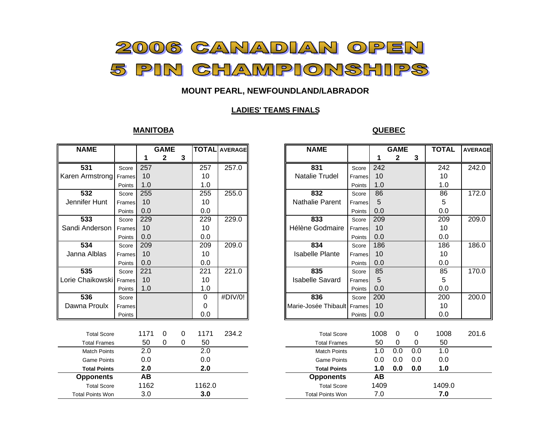

## **MOUNT PEARL, NEWFOUNDLAND/LABRADOR**

### **LADIES' TEAMS FINALS**

#### **MANITOBA**

#### **QUEBEC**

| <b>NAME</b>             |        |           | <b>GAME</b>  |   |             | <b>TOTAL</b> AVERAGE | <b>NAME</b>                 |        | <b>GAME</b> |              |     | <b>TOTAL</b>     |
|-------------------------|--------|-----------|--------------|---|-------------|----------------------|-----------------------------|--------|-------------|--------------|-----|------------------|
|                         |        |           | $\mathbf{2}$ | 3 |             |                      |                             |        | 1           | $\mathbf{2}$ | 3   |                  |
| 531                     | Score  | 257       |              |   | 257         | 257.0                | 831                         | Score  | 242         |              |     | $\overline{242}$ |
| Karen Armstrong Frames  |        | 10        |              |   | 10          |                      | Natalie Trudel              | Frames | 10          |              |     | 10               |
|                         | Points | 1.0       |              |   | 1.0         |                      |                             | Points | 1.0         |              |     | 1.0              |
| 532                     | Score  | 255       |              |   | 255         | 255.0                | 832                         | Score  | 86          |              |     | 86               |
| Jennifer Hunt           | Frames | 10        |              |   | 10          |                      | <b>Nathalie Parent</b>      | Frames | 5           |              |     | 5                |
|                         | Points | 0.0       |              |   | 0.0         |                      |                             | Points | 0.0         |              |     | 0.0              |
| $\overline{533}$        | Score  | 229       |              |   | 229         | 229.0                | 833                         | Score  | 209         |              |     | 209              |
| Sandi Anderson          | Frames | 10        |              |   | 10          |                      | Hélène Godmaire             | Frames | 10          |              |     | 10               |
|                         | Points | 0.0       |              |   | 0.0         |                      |                             | Points | 0.0         |              |     | 0.0              |
| 534                     | Score  | 209       |              |   | 209         | 209.0                | 834                         | Score  | 186         |              |     | 186              |
| Janna Alblas            | Frames | 10        |              |   | 10          |                      | <b>Isabelle Plante</b>      | Frames | 10          |              |     | 10               |
|                         | Points | 0.0       |              |   | 0.0         |                      |                             | Points | 0.0         |              |     | 0.0              |
| 535                     | Score  | 221       |              |   | 221         | 221.0                | 835                         | Score  | 85          |              |     | 85               |
| Lorie Chaikowski Frames |        | 10        |              |   | 10          |                      | <b>Isabelle Savard</b>      | Frames | 5           |              |     | 5                |
|                         | Points | 1.0       |              |   | 1.0         |                      |                             | Points | 0.0         |              |     | 0.0              |
| 536                     | Score  |           |              |   | $\mathbf 0$ | #DIV/0!              | 836                         | Score  | 200         |              |     | 200              |
| Dawna Proulx            | Frames |           |              |   | 0           |                      | Marie-Josée Thibault Frames |        | 10          |              |     | 10               |
|                         | Points |           |              |   | 0.0         |                      |                             | Points | 0.0         |              |     | 0.0              |
|                         |        |           |              |   |             |                      |                             |        |             |              |     |                  |
| <b>Total Score</b>      |        | 1171      | $\mathbf 0$  | 0 | 1171        | 234.2                | <b>Total Score</b>          |        | 1008        | $\mathbf 0$  | 0   | 1008             |
| <b>Total Frames</b>     |        | 50        | 0            | 0 | 50          |                      | <b>Total Frames</b>         |        | 50          | 0            | 0   | 50               |
| <b>Match Points</b>     |        | 2.0       |              |   | 2.0         |                      | <b>Match Points</b>         |        | 1.0         | 0.0          | 0.0 | 1.0              |
| <b>Game Points</b>      |        | 0.0       |              |   | 0.0         |                      | <b>Game Points</b>          |        | 0.0         | 0.0          | 0.0 | 0.0              |
| <b>Total Points</b>     |        | 2.0       |              |   | 2.0         |                      | <b>Total Points</b>         |        | 1.0         | 0.0          | 0.0 | 1.0              |
| <b>Opponents</b>        |        | <b>AB</b> |              |   |             |                      | <b>Opponents</b>            |        | AB          |              |     |                  |
| <b>Total Score</b>      |        | 1162      |              |   | 1162.0      |                      | <b>Total Score</b>          |        | 1409        |              |     | 1409.0           |
| <b>Total Points Won</b> |        | 3.0       |              |   | 3.0         |                      | <b>Total Points Won</b>     |        | 7.0         |              |     | 7.0              |

| WЕ                      |        | <b>GAME</b> |              | <b>TOTAL</b> AVERAGE |               |         | <b>NAME</b>                 |        |      | <b>GAME</b>  |     | <b>TOTAL</b> | <b>AVERAGE</b> |
|-------------------------|--------|-------------|--------------|----------------------|---------------|---------|-----------------------------|--------|------|--------------|-----|--------------|----------------|
|                         |        | 1           | $\mathbf{2}$ | 3                    |               |         |                             |        |      | $\mathbf{2}$ | 3   |              |                |
| $\overline{1}$          | Score  | 257         |              |                      | 257           | 257.0   | 831                         | Score  | 242  |              |     | 242          | 242.0          |
| mstrong                 | Frames | 10          |              |                      | 10            |         | <b>Natalie Trudel</b>       | Frames | 10   |              |     | 10           |                |
|                         | Points | 1.0         |              |                      | 1.0           |         |                             | Points | 1.0  |              |     | 1.0          |                |
| $\overline{\mathbf{2}}$ | Score  | 255         |              |                      | 255           | 255.0   | 832                         | Score  | 86   |              |     | 86           | 172.0          |
| r Hunt                  | Frames | 10          |              |                      | 10            |         | <b>Nathalie Parent</b>      | Frames | 5    |              |     | 5            |                |
|                         | Points | 0.0         |              |                      | 0.0           |         |                             | Points | 0.0  |              |     | 0.0          |                |
| $\overline{\mathbf{3}}$ | Score  | 229         |              |                      | 229           | 229.0   | 833                         | Score  | 209  |              |     | 209          | 209.0          |
| าderson                 | Frames | 10          |              |                      | 10            |         | Hélène Godmaire             | Frames | 10   |              |     | 10           |                |
|                         | Points | 0.0         |              |                      | 0.0           |         |                             | Points | 0.0  |              |     | 0.0          |                |
| $\overline{4}$          | Score  | 209         |              |                      | 209           | 209.0   | 834                         | Score  | 186  |              |     | 186          | 186.0          |
| Alblas                  | Frames | 10          |              |                      | 10            |         | <b>Isabelle Plante</b>      | Frames | 10   |              |     | 10           |                |
|                         | Points | 0.0         |              |                      | 0.0           |         |                             | Points | 0.0  |              |     | 0.0          |                |
| 5                       | Score  | 221         |              |                      | 221           | 221.0   | 835                         | Score  | 85   |              |     | 85           | 170.0          |
| aikowski Frames         |        | 10          |              |                      | 10            |         | <b>Isabelle Savard</b>      | Frames | 5    |              |     | 5            |                |
|                         | Points | 1.0         |              |                      | 1.0           |         |                             | Points | 0.0  |              |     | 0.0          |                |
| $\overline{\mathbf{6}}$ | Score  |             |              |                      | $\Omega$      | #DIV/0! | 836                         | Score  | 200  |              |     | 200          | 200.0          |
| Proulx                  | Frames |             |              |                      | 0             |         | Marie-Josée Thibault Frames |        | 10   |              |     | 10           |                |
|                         | Points |             |              |                      | 0.0           |         |                             | Points | 0.0  |              |     | 0.0          |                |
|                         |        |             |              |                      |               |         |                             |        |      |              |     |              |                |
| otal Score              |        | 1171        | $\mathbf 0$  | $\mathbf 0$          | 1171          | 234.2   | <b>Total Score</b>          |        | 1008 | $\Omega$     | 0   | 1008         | 201.6          |
| tal Frames              |        | 50          | $\Omega$     | $\Omega$             | 50            |         | <b>Total Frames</b>         |        | 50   | 0            | 0   | 50           |                |
| atch Points             |        | 2.0         |              |                      | 2.0           |         | <b>Match Points</b>         |        | 1.0  | 0.0          | 0.0 | 1.0          |                |
| ame Points              |        | 0.0         |              |                      | 0.0           |         | <b>Game Points</b>          |        | 0.0  | 0.0          | 0.0 | 0.0          |                |
| tal Points              |        | 2.0         |              |                      | 2.0           |         | <b>Total Points</b>         |        | 1.0  | 0.0          | 0.0 | 1.0          |                |
| ponents                 |        | <b>AB</b>   |              |                      |               |         | <b>Opponents</b>            |        | AB   |              |     |              |                |
| ntal Score              |        | 1162        |              |                      | 1162 $\Omega$ |         | Total Score                 |        | 1409 |              |     | 14090        |                |